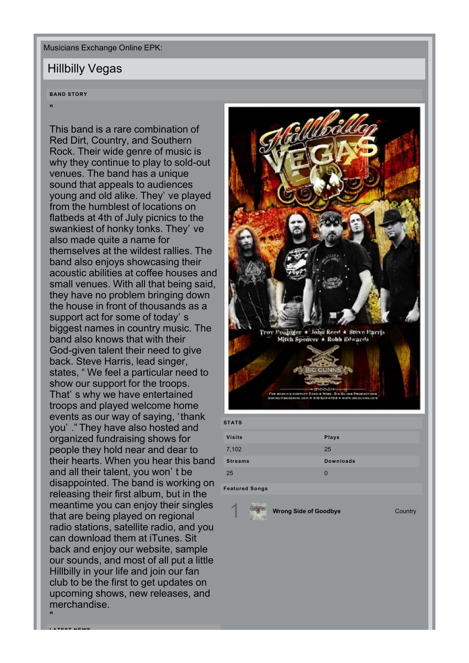Musicians Exchange Online EPK:

## Hillbilly Vegas

## **BAND STORY**

"

"

**LATEST NEWS**

This band is a rare combination of Red Dirt, Country, and Southern Rock. Their wide genre of music is why they continue to play to sold-out venues. The band has a unique sound that appeals to audiences young and old alike. They' ve played from the humblest of locations on flatbeds at 4th of July picnics to the swankiest of honky tonks. They' ve also made quite a name for themselves at the wildest rallies. The band also enjoys showcasing their acoustic abilities at coffee houses and small venues. With all that being said, they have no problem bringing down the house in front of thousands as a support act for some of today's biggest names in country music. The band also knows that with their God-given talent their need to give back. Steve Harris, lead singer, states, "We feel a particular need to show our support for the troops. That's why we have entertained troops and played welcome home events as our way of saying, 'thank you'." They have also hosted and organized fundraising shows for people they hold near and dear to their hearts. When you hear this band and all their talent, you won't be disappointed. The band is working on releasing their first album, but in the meantime you can enjoy their singles that are being played on regional radio stations, satellite radio, and you can download them at iTunes. Sit back and enjoy our website, sample our sounds, and most of all put a little Hillbilly in your life and join our fan club to be the first to get updates on upcoming shows, new releases, and merchandise.



| <b>STATS</b>   |                  |
|----------------|------------------|
| <b>Visits</b>  | <b>Plays</b>     |
| 7,102          | 25               |
| <b>Streams</b> | <b>Downloads</b> |
| 25             | $\Omega$         |
|                |                  |

**Featured Songs**

1 **[Wrong](http://musiciansexchangeonline.com/Hillbilly_Vegas/) [Side](http://musiciansexchangeonline.com/Hillbilly_Vegas/) [of](http://musiciansexchangeonline.com/Hillbilly_Vegas/) [Goodbye](http://musiciansexchangeonline.com/Hillbilly_Vegas/)** Country